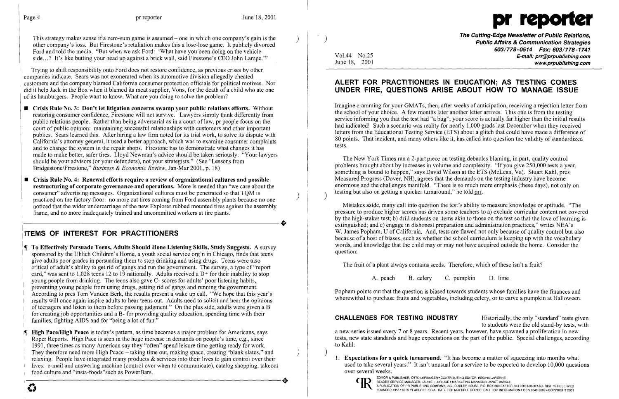

This strategy makes sense if a zero-sum game is assumed – one in which one company's gain is the other company's loss. But Firestone's retaliation makes this a lose-lose game. It publicly divorced Ford and told the media, "But when we ask Ford: 'What have you been doing on the vehicle side ... ? It's like butting your head up against a brick wall, said Firestone's CEO John Lampe.'"

Trying to shift responsibility onto Ford does not restore confidence, as previous crises by other companies indicate. Sears was not exonerated when its automotive division allegedly cheated customers and the company blamed California consumer protection officials for political motives. Nor did it help Jack in the Box when it blamed its meat supplier, Vons, for the death of a child who ate one of its hamburgers. People want to know, What are you doing to solve the problem?

- **Crisis Rule No. 3: Don't let litigation concerns swamp your public relations efforts.** Without restoring consumer confidence, Firestone will not survive. Lawyers simply think differently from public relations people. Rather than being adversarial as in a court of law, pr people focus on the court of public opinion: maintaining successful relationships with customers and other important publics. Sears learned this. After hiring a law firm noted for its trial work, to solve its dispute with California's attorney general, it used a better approach, which was to examine consumer complaints and to change the system in the repair shops. Firestone has to demonstrate what changes it has made to make better, safer tires. Lloyd Newman's advice should be taken seriously: "Your lawyers should be your advisors (or your defenders), not your strategists." (See "Lessons from Bridgestone/Firestone," *Business* & *Economic Review,* Jan-Mar 2001, p. 18)
- **Crisis Rule No.4: Renewal efforts require a review of organizational cultures and possible restructuring of corporate governance and operations.** More is needed than "we care about the consumer" advertising messages. Organizational cultures must be penetrated so that TQM is ) practiced on the factory floor: no more cut tires coming from Ford assembly plants because no one noticed that the wider undercarriage of the new Explorer rubbed mounted tires against the assembly frame, and no more inadequately trained and uncommitted workers at tire plants.

# **ITEMS OF INTEREST FOR PRACTITIONERS**

**The Effectively Persuade Teens, Adults Should Hone Listening Skills, Study Suggests.** A survey sponsored by the Uhlich Children's Home, a youth social service org'n in Chicago, finds that teens give adults poor grades in persuading them to stop drinking and using drugs. Teens were also critical of adult's ability to get rid of gangs and run the government. The survey, a type of "report" card," was sent to 1,028 teens 12 to 19 nationally. Adults received a D+ for their inability to stop I young people from drinking. The teens also gave C- scores for adults' poor listening habits, preventing young people from using drugs, getting rid of gangs and running the government. I I According to pres Tom Vanden Berk, the results present a wake up call. "We hope that this year's results will once again inspire adults to hear teens out. Adults need to solicit and hear the opinions of teenagers and listen to them before passing judgment." On the plus side, adults were given a B I I for creating job opportunities and a B- for providing quality education, spending time with their families, fighting AIDS and for "being a lot of fun."

'<br>|¶<br>| **High Pace/High Peace** is today's pattern, as time becomes a major problem for Americans, says Roper Reports. High Pace is seen in the huge increase in demands on people's time, e.g., since 1991, three times as many American say they "often" spend leisure time getting ready for work. They therefore need more High Peace - taking time out, making space, creating "blank slates," and relaxing. People have integrated many products & services into their lives to gain control over their lives: e-mail and answering machine (control over when to communicate), catalog shopping, takeout food culture and "insta-foods"such as PowerBars.  $\bullet$ 

, ) **The Cutting-Edge Newsletter of Public Relations, Public Affairs & Communication Strategies**  *603/778-0514 Fax: 603/778-1741*  Vol.44 No.25 **E-mail: prr@prpublishing.com**  www.prpublishing.com

The New York Times ran a 2-part piece on testing debacles blaming, in part, quality control problems brought about by increases in volume and complexity. "If you give 250,000 tests a year, something is bound to happen," says David Wilson at the ETS (McLean, Va). Stuart Kahl, pres Measured Progress (Dover, NH), agrees that the demands on the testing industry have become enormous and the challenges manifold. "There is so much more emphasis (these days), not only on testing but also on getting a quicker turnaround," he told prr.

**CHALLENGES FOR TESTING INDUSTRY** Historically, the only "standard" tests given to students were the old stand-by tests, with a new series issued every 7 or 8 years. Recent years, however, have spawned a proliferation in new tests, new state standards and huge expectations on the part of the public. Special challenges, according to Kahl:

## **ALERT FOR PRACTITIONERS IN EDUCATION; AS TESTING COMES UNDER FIRE, QUESTIONS ARISE ABOUT HOW TO MANAGE ISSUE**

Imagine cramming for your GMATs, then, after weeks of anticipation, receiving a rejection letter from the school of your choice. A few months later another letter arrives. This one is from the testing service informing you that the test had "a bug"; your score is actually far higher than the initial results had indicated! Such a scenario was reality for nearly 1,000 grads last December when they received letters from the Educational Testing Service (ETS) about a glitch that could have made a difference of 80 points. That incident, and many others like it, has called into question the validity of standardized tests.

Mistakes aside, many call into question the test's ability to measure knowledge or aptitude. "The pressure to produce higher scores has driven some teachers to a) exclude curricular content not covered by the high-stakes test; b) drill students on items akin to those on the test so that the love of learning is extinguished; and c) engage in dishonest preparation and administration practices," writes NEA's W. James Popham, U of California. And, tests are flawed not only because of quality control but also because of a host of biases, such as whether the school curriculum is keeping up with the vocabulary words, and knowledge that the child mayor may not have acquired outside the home. Consider the question:

The fruit of a plant always contains seeds. Therefore, which of these isn't a fruit?

A. peach B. celery C. pumpkin D. lime

Popham points out that the question is biased towards students whose families have the finances and wherewithal to purchase fruits and vegetables, including celery, or to carve a pumpkin at Halloween.

) 1. **Expectations for a quick turnaround.** "It has become a matter of squeezing into months what over several weeks.



EDITOR & PUBLISHER, OTTO LERBINGER • CONTRIBUTING EDITOR, REGINA LAPIERRE<br>READER SERVICE MANAGER, LAURIE ELDRIDGE • MARKETING MANAGER, JANET BARKER

used to take several years." It isn't unusual for a service to be expected to develop 10,000 questions